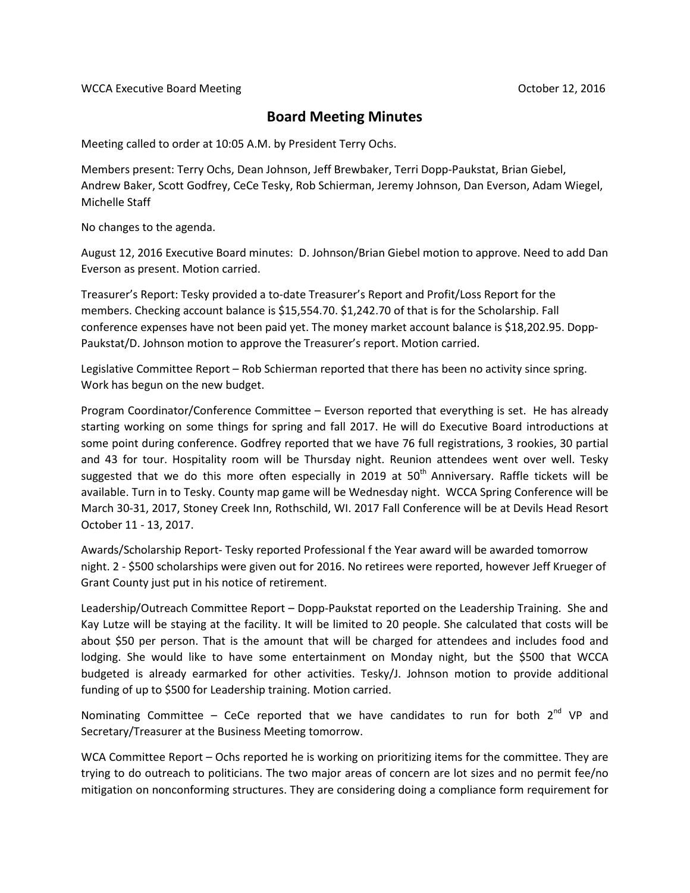## **Board Meeting Minutes**

Meeting called to order at 10:05 A.M. by President Terry Ochs.

Members present: Terry Ochs, Dean Johnson, Jeff Brewbaker, Terri Dopp-Paukstat, Brian Giebel, Andrew Baker, Scott Godfrey, CeCe Tesky, Rob Schierman, Jeremy Johnson, Dan Everson, Adam Wiegel, Michelle Staff

No changes to the agenda.

August 12, 2016 Executive Board minutes: D. Johnson/Brian Giebel motion to approve. Need to add Dan Everson as present. Motion carried.

Treasurer's Report: Tesky provided a to-date Treasurer's Report and Profit/Loss Report for the members. Checking account balance is \$15,554.70. \$1,242.70 of that is for the Scholarship. Fall conference expenses have not been paid yet. The money market account balance is \$18,202.95. Dopp-Paukstat/D. Johnson motion to approve the Treasurer's report. Motion carried.

Legislative Committee Report – Rob Schierman reported that there has been no activity since spring. Work has begun on the new budget.

Program Coordinator/Conference Committee – Everson reported that everything is set. He has already starting working on some things for spring and fall 2017. He will do Executive Board introductions at some point during conference. Godfrey reported that we have 76 full registrations, 3 rookies, 30 partial and 43 for tour. Hospitality room will be Thursday night. Reunion attendees went over well. Tesky suggested that we do this more often especially in 2019 at  $50<sup>th</sup>$  Anniversary. Raffle tickets will be available. Turn in to Tesky. County map game will be Wednesday night. WCCA Spring Conference will be March 30-31, 2017, Stoney Creek Inn, Rothschild, WI. 2017 Fall Conference will be at Devils Head Resort October 11 - 13, 2017.

Awards/Scholarship Report- Tesky reported Professional f the Year award will be awarded tomorrow night. 2 - \$500 scholarships were given out for 2016. No retirees were reported, however Jeff Krueger of Grant County just put in his notice of retirement.

Leadership/Outreach Committee Report – Dopp-Paukstat reported on the Leadership Training. She and Kay Lutze will be staying at the facility. It will be limited to 20 people. She calculated that costs will be about \$50 per person. That is the amount that will be charged for attendees and includes food and lodging. She would like to have some entertainment on Monday night, but the \$500 that WCCA budgeted is already earmarked for other activities. Tesky/J. Johnson motion to provide additional funding of up to \$500 for Leadership training. Motion carried.

Nominating Committee - CeCe reported that we have candidates to run for both  $2^{nd}$  VP and Secretary/Treasurer at the Business Meeting tomorrow.

WCA Committee Report – Ochs reported he is working on prioritizing items for the committee. They are trying to do outreach to politicians. The two major areas of concern are lot sizes and no permit fee/no mitigation on nonconforming structures. They are considering doing a compliance form requirement for